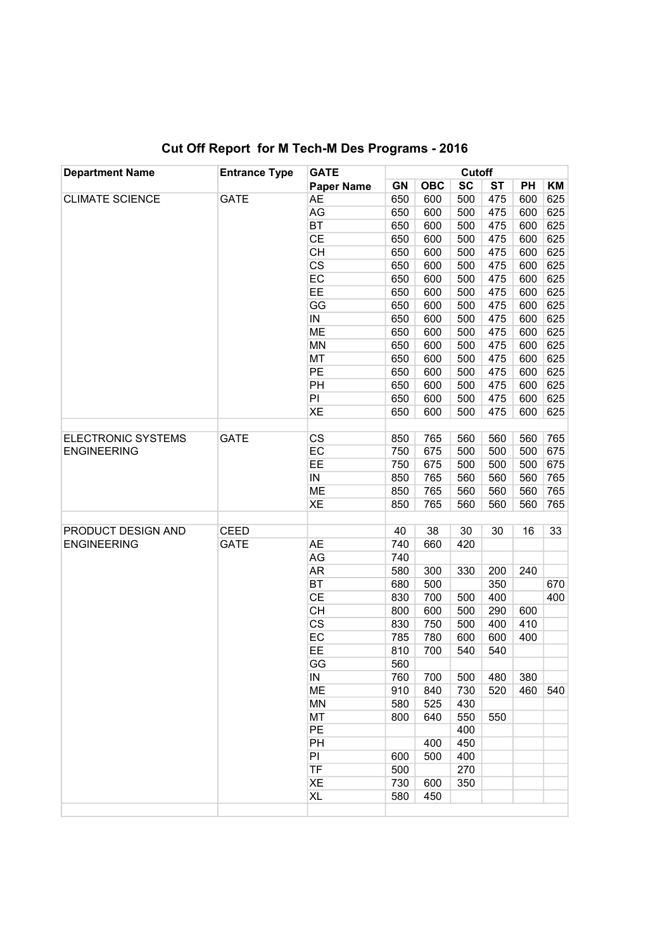| <b>Department Name</b>                   | <b>Entrance Type</b> | <b>GATE</b><br><b>Paper Name</b> | Cutoff |            |           |           |     |     |
|------------------------------------------|----------------------|----------------------------------|--------|------------|-----------|-----------|-----|-----|
|                                          |                      |                                  | GN     | <b>OBC</b> | <b>SC</b> | <b>ST</b> | PH  | KM  |
| <b>CLIMATE SCIENCE</b>                   | <b>GATE</b>          | AE                               | 650    | 600        | 500       | 475       | 600 | 625 |
|                                          |                      | AG                               | 650    | 600        | 500       | 475       | 600 | 625 |
|                                          |                      | BT                               | 650    | 600        | 500       | 475       | 600 | 625 |
|                                          |                      | <b>CE</b>                        | 650    | 600        | 500       | 475       | 600 | 625 |
|                                          |                      | <b>CH</b>                        | 650    | 600        | 500       | 475       | 600 | 625 |
|                                          |                      | $\overline{\text{CS}}$           | 650    | 600        | 500       | 475       | 600 | 625 |
|                                          |                      | EC                               | 650    | 600        | 500       | 475       | 600 | 625 |
|                                          |                      | EE                               | 650    | 600        | 500       | 475       | 600 | 625 |
|                                          |                      | GG                               | 650    | 600        | 500       | 475       | 600 | 625 |
|                                          |                      | IN                               | 650    | 600        | 500       | 475       | 600 | 625 |
|                                          |                      | <b>ME</b>                        | 650    | 600        | 500       | 475       | 600 | 625 |
|                                          |                      | <b>MN</b>                        | 650    | 600        | 500       | 475       | 600 | 625 |
|                                          |                      | MT                               | 650    | 600        | 500       | 475       | 600 | 625 |
|                                          |                      | PE                               | 650    | 600        | 500       | 475       | 600 | 625 |
|                                          |                      | PH                               | 650    | 600        | 500       | 475       | 600 | 625 |
|                                          |                      | PI                               | 650    | 600        | 500       | 475       | 600 | 625 |
|                                          |                      | XE                               | 650    | 600        | 500       | 475       | 600 | 625 |
|                                          |                      |                                  |        |            |           |           |     |     |
| <b>ELECTRONIC SYSTEMS</b>                | <b>GATE</b>          | <b>CS</b>                        | 850    | 765        | 560       | 560       | 560 | 765 |
| <b>ENGINEERING</b>                       |                      | EC                               | 750    | 675        | 500       | 500       | 500 | 675 |
|                                          |                      | EE                               | 750    | 675        | 500       | 500       | 500 | 675 |
|                                          |                      | $\sf IN$                         | 850    | 765        | 560       | 560       | 560 | 765 |
|                                          |                      | <b>ME</b>                        | 850    | 765        | 560       | 560       | 560 | 765 |
|                                          |                      | XE                               | 850    | 765        | 560       | 560       | 560 | 765 |
|                                          |                      |                                  |        |            |           |           |     |     |
| PRODUCT DESIGN AND<br><b>ENGINEERING</b> | <b>CEED</b>          |                                  | 40     | 38         | 30        | 30        | 16  | 33  |
|                                          | <b>GATE</b>          | <b>AE</b>                        | 740    | 660        | 420       |           |     |     |
|                                          |                      | AG                               | 740    |            |           |           |     |     |
|                                          |                      | <b>AR</b>                        | 580    | 300        | 330       | 200       | 240 |     |
|                                          |                      | <b>BT</b>                        | 680    | 500        |           | 350       |     | 670 |
|                                          |                      | <b>CE</b>                        | 830    | 700        | 500       | 400       |     | 400 |
|                                          |                      | <b>CH</b>                        | 800    | 600        | 500       | 290       | 600 |     |
|                                          |                      | $\overline{\text{CS}}$           | 830    | 750        | 500       | 400       | 410 |     |
|                                          |                      | EC                               | 785    | 780        | 600       | 600       | 400 |     |
|                                          |                      | EE                               | 810    | 700        | 540       | 540       |     |     |
|                                          |                      | GG                               | 560    |            |           |           |     |     |
|                                          |                      | ${\sf IN}$                       | 760    | 700        | 500       | 480       | 380 |     |
|                                          |                      | ME                               | 910    | 840        | 730       | 520       | 460 | 540 |
|                                          |                      | <b>MN</b>                        | 580    | 525        | 430       |           |     |     |
|                                          |                      | MT                               | 800    | 640        | 550       | 550       |     |     |
|                                          |                      | PE                               |        |            | 400       |           |     |     |
|                                          |                      | PH                               |        | 400        | 450       |           |     |     |
|                                          |                      | PI                               | 600    | 500        | 400       |           |     |     |
|                                          |                      | <b>TF</b>                        | 500    |            | 270       |           |     |     |
|                                          |                      | XE                               | 730    | 600        | 350       |           |     |     |
|                                          |                      | <b>XL</b>                        | 580    | 450        |           |           |     |     |
|                                          |                      |                                  |        |            |           |           |     |     |

## Cut Off Report for M Tech-M Des Programs - 2016